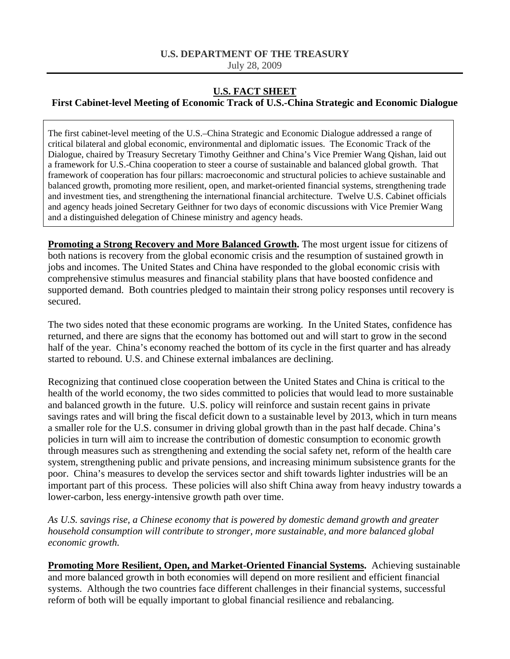## **U.S. DEPARTMENT OF THE TREASURY**

July 28, 2009

## **U.S. FACT SHEET**

## **First Cabinet-level Meeting of Economic Track of U.S.-China Strategic and Economic Dialogue**

The first cabinet-level meeting of the U.S.–China Strategic and Economic Dialogue addressed a range of critical bilateral and global economic, environmental and diplomatic issues. The Economic Track of the Dialogue, chaired by Treasury Secretary Timothy Geithner and China's Vice Premier Wang Qishan, laid out a framework for U.S.-China cooperation to steer a course of sustainable and balanced global growth. That framework of cooperation has four pillars: macroeconomic and structural policies to achieve sustainable and balanced growth, promoting more resilient, open, and market-oriented financial systems, strengthening trade and investment ties, and strengthening the international financial architecture. Twelve U.S. Cabinet officials and agency heads joined Secretary Geithner for two days of economic discussions with Vice Premier Wang and a distinguished delegation of Chinese ministry and agency heads.

**Promoting a Strong Recovery and More Balanced Growth.** The most urgent issue for citizens of both nations is recovery from the global economic crisis and the resumption of sustained growth in jobs and incomes. The United States and China have responded to the global economic crisis with comprehensive stimulus measures and financial stability plans that have boosted confidence and supported demand. Both countries pledged to maintain their strong policy responses until recovery is secured.

The two sides noted that these economic programs are working. In the United States, confidence has returned, and there are signs that the economy has bottomed out and will start to grow in the second half of the year. China's economy reached the bottom of its cycle in the first quarter and has already started to rebound. U.S. and Chinese external imbalances are declining.

Recognizing that continued close cooperation between the United States and China is critical to the health of the world economy, the two sides committed to policies that would lead to more sustainable and balanced growth in the future. U.S. policy will reinforce and sustain recent gains in private savings rates and will bring the fiscal deficit down to a sustainable level by 2013, which in turn means a smaller role for the U.S. consumer in driving global growth than in the past half decade. China's policies in turn will aim to increase the contribution of domestic consumption to economic growth through measures such as strengthening and extending the social safety net, reform of the health care system, strengthening public and private pensions, and increasing minimum subsistence grants for the poor. China's measures to develop the services sector and shift towards lighter industries will be an important part of this process. These policies will also shift China away from heavy industry towards a lower-carbon, less energy-intensive growth path over time.

*As U.S. savings rise, a Chinese economy that is powered by domestic demand growth and greater household consumption will contribute to stronger, more sustainable, and more balanced global economic growth.* 

**Promoting More Resilient, Open, and Market-Oriented Financial Systems.** Achieving sustainable and more balanced growth in both economies will depend on more resilient and efficient financial systems. Although the two countries face different challenges in their financial systems, successful reform of both will be equally important to global financial resilience and rebalancing.